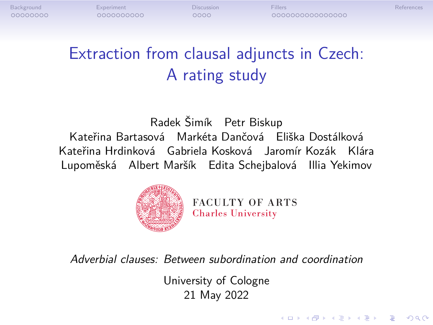## Extraction from clausal adjuncts in Czech: A rating study

Radek Šimík Petr Biskup Kateřina Bartasová Markéta Dančová Eliška Dostálková Kateřina Hrdinková Gabriela Kosková Jaromír Kozák Klára Lupoměská Albert Maršík Edita Schejbalová Illia Yekimov



*Adverbial clauses: Between subordination and coordination*

University of Cologne 21 May 2022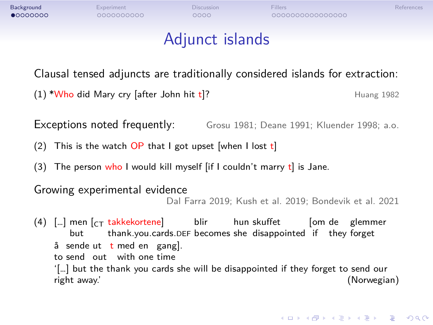| Experiment<br>0000000000 | <b>Discussion</b><br>0000 | Fillers<br>000000000000000                                                                                                                                             | References                                                                                                                                                                                                                                                                                                                                                                                                                                                                                                                                                                               |
|--------------------------|---------------------------|------------------------------------------------------------------------------------------------------------------------------------------------------------------------|------------------------------------------------------------------------------------------------------------------------------------------------------------------------------------------------------------------------------------------------------------------------------------------------------------------------------------------------------------------------------------------------------------------------------------------------------------------------------------------------------------------------------------------------------------------------------------------|
|                          |                           |                                                                                                                                                                        |                                                                                                                                                                                                                                                                                                                                                                                                                                                                                                                                                                                          |
|                          |                           |                                                                                                                                                                        |                                                                                                                                                                                                                                                                                                                                                                                                                                                                                                                                                                                          |
|                          |                           |                                                                                                                                                                        | Huang 1982                                                                                                                                                                                                                                                                                                                                                                                                                                                                                                                                                                               |
|                          |                           |                                                                                                                                                                        |                                                                                                                                                                                                                                                                                                                                                                                                                                                                                                                                                                                          |
|                          |                           |                                                                                                                                                                        |                                                                                                                                                                                                                                                                                                                                                                                                                                                                                                                                                                                          |
|                          |                           |                                                                                                                                                                        |                                                                                                                                                                                                                                                                                                                                                                                                                                                                                                                                                                                          |
|                          |                           |                                                                                                                                                                        |                                                                                                                                                                                                                                                                                                                                                                                                                                                                                                                                                                                          |
|                          |                           |                                                                                                                                                                        | (Norwegian)                                                                                                                                                                                                                                                                                                                                                                                                                                                                                                                                                                              |
|                          | but<br>right away.'       | $(1)$ *Who did Mary cry [after John hit t]?<br>Exceptions noted frequently:<br>Growing experimental evidence<br>å sende ut t med en gang.<br>to send out with one time | Adjunct islands<br>Clausal tensed adjuncts are traditionally considered islands for extraction:<br>Grosu 1981; Deane 1991; Kluender 1998; a.o.<br>(2) This is the watch $OP$ that I got upset when I lost t<br>(3) The person who I would kill myself $\left[$ if I couldn't marry t is Jane.<br>Dal Farra 2019; Kush et al. 2019; Bondevik et al. 2021<br>(4) [] men [ <sub>CT</sub> takkekortene] blir hun skuffet<br>[om de glemmer<br>thank you cards DEF becomes she disappointed if they forget<br>'[] but the thank you cards she will be disappointed if they forget to send our |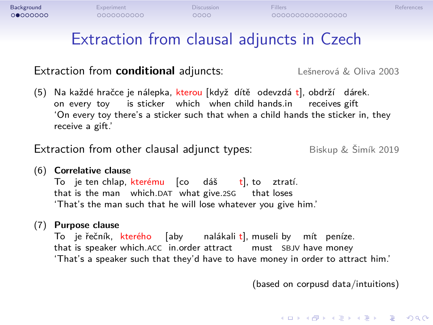## Extraction from clausal adjuncts in Czech

### Extraction from **conditional** adjuncts: Lešnerová & Oliva 2003

(5) Na on každé every hračce toy je is nálepka, sticker kterou which [když when dítě child odevzdá hands.in t], obdrží receives dárek. gift 'On every toy there's a sticker such that when a child hands the sticker in, they receive a gift.'

Extraction from other clausal adjunct types: Biskup & Šimík 2019

### (6) **Correlative clause**

To that je is ten the chlap, man kterému which.DAT [co what dáš give.2SG t], to that loses t], to ztratí. 'That's the man such that he will lose whatever you give him.'

### (7) **Purpose clause**

To that je is řečník, speaker kterého which.ACC [aby in.order nalákali attract t], museli must by SBJV mít have peníze. money 'That's a speaker such that they'd have to have money in order to attract him.'

(based on corpusd data/intuitions)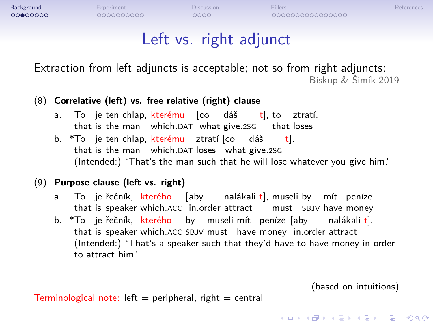# **Background Experiment Discussion Fillers**<br> **COOR COOR DISCUSSION DISCUSSION DISCUSSION**<br>
COOR DISCUSSION DISCUSSION DISCUSSION DISCORDIO DISCUSSION DISCUSSION Left vs. right adjunct

Extraction from left adjuncts is acceptable; not so from right adjuncts:

Biskup & Šimík 2019

### (8) **Correlative (left) vs. free relative (right) clause**

- a. To jettenchlap, <mark>kterému</mark> [co dáš that is the man which.DAT what give.2SG t], to ztratí. that loses
- b. \*To je ten chlap, <mark>kterému</mark> ztratí [co dáš that is the man which.DAT loses what give.2SG t]. (Intended:) 'That's the man such that he will lose whatever you give him.'

### (9) **Purpose clause (left vs. right)**

- a. To je řečník, kterého [aby that is speaker which.ACC in.order attract must SBJV have money nalákali t], museli by mít peníze.
- b. \*To je řečník, kterého by museli-mít peníze [aby that is speaker which.ACC SBJV must have money in.order attract nalákali t]. (Intended:) 'That's a speaker such that they'd have to have money in order to attract him.'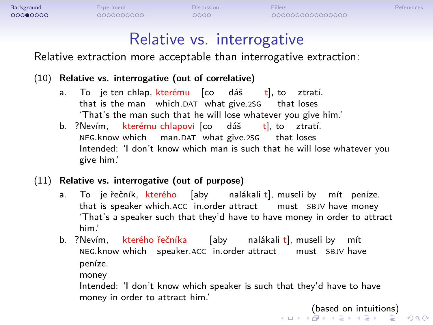### Relative vs. interrogative

Relative extraction more acceptable than interrogative extraction:

### (10) **Relative vs. interrogative (out of correlative)**

- a. To that je is ten the chlap, man kterému which.DAT [co what dáš give.2SG t], to ztratí. that loses 'That's the man such that he will lose whatever you give him.'
- b. ?Nevím, kterému chlapovi [co dáš NEG.know which man.DAT what give.2SG that loses t], to ztratí. Intended: 'I don't know which man is such that he will lose whatever you give him.'

### (11) **Relative vs. interrogative (out of purpose)**

- a. To je řečník, <mark>kterého</mark> [aby that is speaker which.ACC in.order attract nalákali t], museli by mít peníze. must SBJV have money 'That's a speaker such that they'd have to have money in order to attract him.'
- b. ?Nevím, kterého řečníka NEG.know which speaker.ACC in.order attract must SBJV have [aby nalákali t], museli by mít peníze. money

Intended: 'I don't know which speaker is such that they'd have to have money in order to attract him.'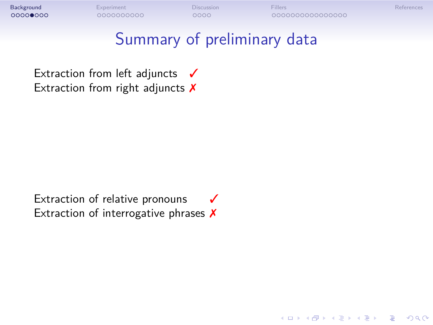

Extraction of interrogative phrases X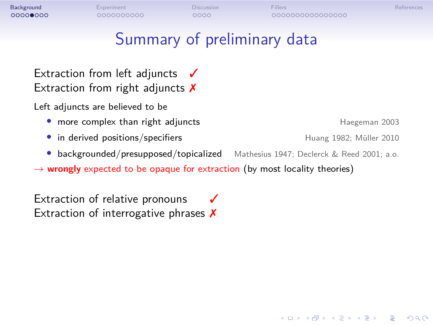${\small \textbf{Background} \hspace{25pt} \begin{array}{l} \text{Eigen} \hspace{15pt} \text{Eigen} \hspace{15pt} \text{Discussion} \hspace{15pt} \text{Fillers} \hspace{15pt} \\\\ \text{OOOOO} \hspace{15pt} \text{OOOOO} \hspace{15pt} \text{OOOOO} \hspace{15pt} \end{array} \hspace{15pt} \begin{array}{l} \text{Eil} \hspace{10pt} \text{Eil} \hspace{10pt} \text{Eil} \hspace{10pt} \text{Eil} \hspace{10pt} \text{Eil} \hspace{10pt} \text{Eil}$ 

## Summary of preliminary data

Extraction from left adjuncts √ Extraction from right adjuncts  $$ 

Left adjuncts are believed to be

- more complex than right adjuncts **and a state of the set of the Haegeman 2003**
- in derived positions/specifiers **Fig. 1982**; Müller 2010
- *•* backgrounded/presupposed/topicalized Mathesius 1947; Declerck & Reed 2001; a.o.
- *→* **wrongly** expected to be opaque for extraction (by most locality theories)

Extraction of relative pronouns √ Extraction of interrogative phrases X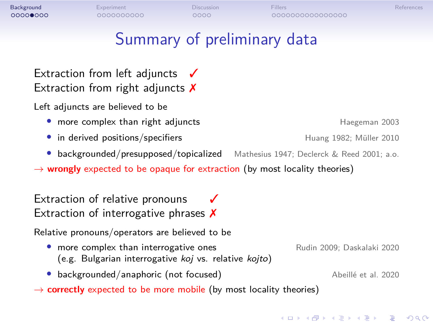## Background Experiment Discussion Fillers References Summary of preliminary data Extraction from left adjuncts √ Extraction from right adjuncts  $$ Left adjuncts are believed to be • more complex than right adjuncts **and a state of the set of the Haegeman 2003** • in derived positions/specifiers **Fig. 1982**; Müller 2010 *•* backgrounded/presupposed/topicalized Mathesius 1947; Declerck & Reed 2001; a.o. *→* **wrongly** expected to be opaque for extraction (by most locality theories) Extraction of relative pronouns √ Extraction of interrogative phrases  $$ Relative pronouns/operators are believed to be • more complex than interrogative ones Rudin 2009; Daskalaki 2020 (e.g. Bulgarian interrogative *koj* vs. relative *kojto*)

• backgrounded/anaphoric (not focused) Abeillé et al. 2020

*→* **correctly** expected to be more mobile (by most locality theories)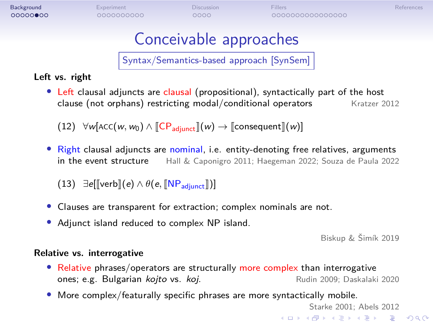### **Background** Experiment Discussion Fillers<br>**Background Discussion Discussion Fillers** References Conceivable approaches Syntax/Semantics-based approach [SynSem] **Left vs. right** • Left clausal adjuncts are clausal (propositional), syntactically part of the host clause (not orphans) restricting modal/conditional operators Kratzer 2012 clause (not orphans) restricting modal/conditional operators  $(12)$   $\forall$ *w*[ACC(*w*, *w*<sub>0</sub>)  $\land$  [CP<sub>adjunct</sub>]](*w*)  $\rightarrow$  [consequent]](*w*)] **•** Right clausal adjuncts are nominal, i.e. entity-denoting free relatives, arguments in the event structure Hall & Caponigro 2011; Haegeman 2022; Souza de Paula 2022 Hall & Caponigro 2011; Haegeman 2022; Souza de Paula 2022  $(13)$  *∃e*[[verb](*e*) ∧  $\theta$ (*e*, [NP<sub>adjunct</sub>])] *•* Clauses are transparent for extraction; complex nominals are not. *•* Adjunct island reduced to complex NP island. Biskup & Šimík 2019 **Relative vs. interrogative** • Relative phrases/operators are structurally more complex than interrogative ones; e.g. Bulgarian *kojto* vs. *koj*. ones; e.g. Bulgarian *kojto* vs. koj. *•* More complex/featurally specific phrases are more syntactically mobile. Starke 2001; Abels 2012

 $\Box \rightarrow \neg \left( \frac{\partial}{\partial \theta} \right) \rightarrow \neg \left( \frac{\partial}{\partial \theta} \right) \rightarrow \neg \left( \frac{\partial}{\partial \theta} \right) \rightarrow \neg \left( \frac{\partial}{\partial \theta} \right) \rightarrow \neg \left( \frac{\partial}{\partial \theta} \right) \rightarrow \neg \left( \frac{\partial}{\partial \theta} \right) \rightarrow \neg \left( \frac{\partial}{\partial \theta} \right) \rightarrow \neg \left( \frac{\partial}{\partial \theta} \right) \rightarrow \neg \left( \frac{\partial}{\partial \theta} \right) \rightarrow \neg \left( \frac{\partial}{\partial \theta} \right) \rightarrow \neg \left( \frac{\partial}{\partial \theta} \$  $2Q$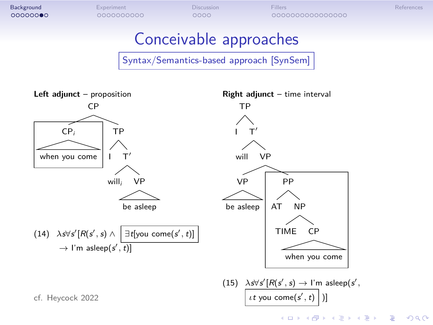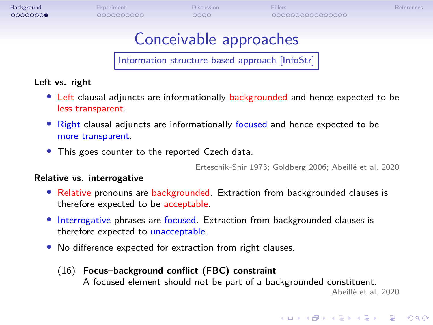Conceivable approaches

Information structure-based approach [InfoStr]

### **Left vs. right**

- *•* Left clausal adjuncts are informationally backgrounded and hence expected to be less transparent.
- *•* Right clausal adjuncts are informationally focused and hence expected to be more transparent.
- *•* This goes counter to the reported Czech data.

Erteschik-Shir 1973; Goldberg 2006; Abeillé et al. 2020

### **Relative vs. interrogative**

- *•* Relative pronouns are backgrounded. Extraction from backgrounded clauses is therefore expected to be acceptable.
- *•* Interrogative phrases are focused. Extraction from backgrounded clauses is therefore expected to unacceptable.
- *•* No difference expected for extraction from right clauses.
	- (16) **Focus–background conflict (FBC) constraint** A focused element should not be part of a backgrounded constituent. Abeillé et al. 2020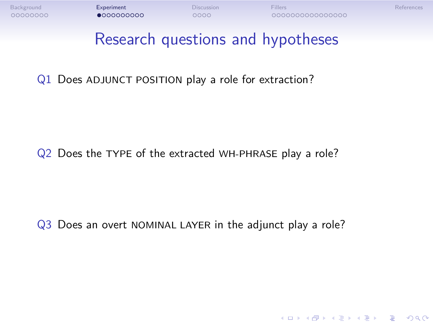

- Q1 Does ADJUNCT POSITION play a role for extraction?
- Q2 Does the TYPE of the extracted WH-PHRASE play a role?
- Q3 Does an overt NOMINAL LAYER in the adjunct play a role?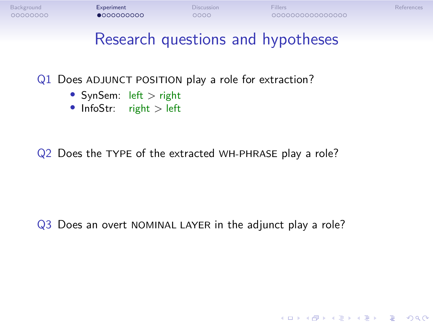

- Q1 Does ADJUNCT POSITION play a role for extraction?
	- *•* SynSem: left *>* right
	- *•* InfoStr: right *>* left
- Q2 Does the TYPE of the extracted WH-PHRASE play a role?
- Q3 Does an overt NOMINAL LAYER in the adjunct play a role?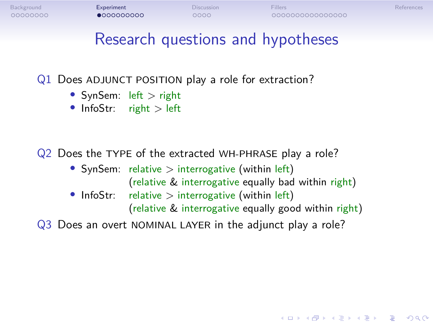## Research questions and hypotheses

- Q1 Does ADJUNCT POSITION play a role for extraction?
	- *•* SynSem: left *>* right
	- *•* InfoStr: right *>* left
- Q2 Does the TYPE of the extracted WH-PHRASE play a role?
	- *•* SynSem: relative *>* interrogative (within left)
	- (relative & interrogative equally bad within right) • InfoStr: relative > interrogative (within left)
		- - (relative & interrogative equally good within right)
- Q3 Does an overt NOMINAL LAYER in the adjunct play a role?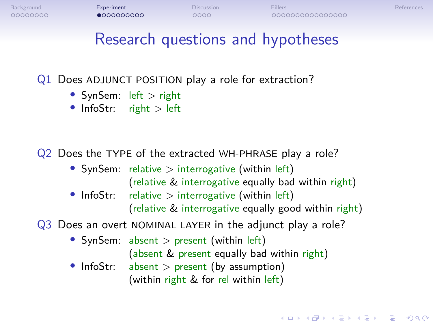### Research questions and hypotheses

- Q1 Does ADJUNCT POSITION play a role for extraction?
	- *•* SynSem: left *>* right
	- *•* InfoStr: right *>* left

### Q2 Does the TYPE of the extracted WH-PHRASE play a role?

- *•* SynSem: relative *>* interrogative (within left)
- (relative & interrogative equally bad within right) • InfoStr: relative > interrogative (within left)
- (relative & interrogative equally good within right)
- Q3 Does an overt NOMINAL LAYER in the adjunct play a role?
	- *•* SynSem: absent *>* present (within left)
		- (absent & present equally bad within right)
	- *•* InfoStr: absent *>* present (by assumption) (within right & for rel within left)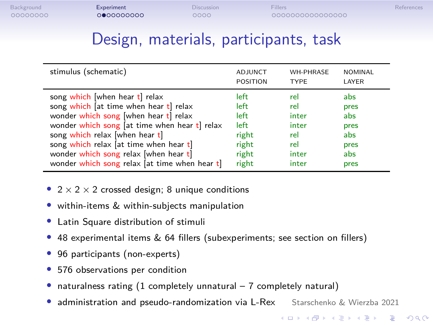Background Experiment Discussion Fillers References<br>1980 - Company Reference References<br>1980 - Company References References

## Design, materials, participants, task

| stimulus (schematic)                          | ADJUNCT         | <b>WH-PHRASE</b> | <b>NOMINAL</b> |
|-----------------------------------------------|-----------------|------------------|----------------|
|                                               | <b>POSITION</b> | <b>TYPE</b>      | LAYER          |
| song which when hear $t$ relax                | left            | rel              | abs            |
| song which $[$ at time when hear t $]$ relax  | left            | rel              | pres           |
| wonder which song [when hear $t$ ] relax      | left            | inter            | abs            |
| wonder which song [at time when hear t] relax | left            | inter            | pres           |
| song which relax [when hear $t$ ]             | right           | rel              | abs            |
| song which relax [at time when hear $t$ ]     | right           | rel              | pres           |
| wonder which song relax [when hear t]         | right           | inter            | abs.           |
| wonder which song relax [at time when hear t] | right           | inter            | pres           |

*•* 2 *×* 2 *×* 2 crossed design; 8 unique conditions

*•* within-items & within-subjects manipulation

*•* Latin Square distribution of stimuli

- *•* 48 experimental items & 64 fillers (subexperiments; see section on fillers)
- *•* 96 participants (non-experts)
- *•* 576 observations per condition
- naturalness rating (1 completely unnatural 7 completely natural)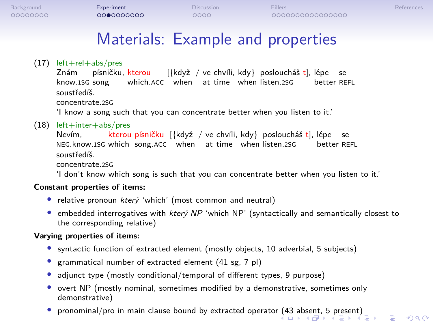| Background<br>00000000 |                                  | Experiment<br>0000000000 |                  | <b>Discussion</b><br>0000                            | <b>Fillers</b><br>000000000000000                                        |            |  |
|------------------------|----------------------------------|--------------------------|------------------|------------------------------------------------------|--------------------------------------------------------------------------|------------|--|
|                        |                                  |                          |                  |                                                      | Materials: Example and properties                                        |            |  |
|                        | $(17)$ left+rel+abs/pres<br>Znám |                          | písničku, kterou | know.1SG song vhich.ACC when at time when listen.2SG | $[\{\text{když} / \text{ve chvíli}, \text{kdy}\}$ posloucháš t], lépe se | better REI |  |

písničku, kterou ong which.ACC when at time when listen.2SG [{když / ve chvíli, kdy} posloucháš t], lépe se better REFL soustředíš. concentrate.2SG

'I know a song such that you can concentrate better when you listen to it.'

(18) left+inter+abs/pres Nevím, NEG.know.1SG kterou which písničku song.ACC [{když when / ve at chvíli, time kdy} when posloucháš listen.2SG t], lépe better se

better REFL soustředíš. concentrate.2SG

'I don't know which song is such that you can concentrate better when you listen to it.'

**Constant properties of items:**

- *•* relative pronoun *který* 'which' (most common and neutral)
- *•* embedded interrogatives with *který NP* 'which NP' (syntactically and semantically closest to the corresponding relative)

### **Varying properties of items:**

- syntactic function of extracted element (mostly objects, 10 adverbial, 5 subjects)
- *•* grammatical number of extracted element (41 sg, 7 pl)
- *•* adjunct type (mostly conditional/temporal of different types, 9 purpose)
- *•* overt NP (mostly nominal, sometimes modified by a demonstrative, sometimes only demonstrative)
- pronominal/pro in main clause bound by extracted operator (43 absent, 5 present)<br>
<sub>\*</sub> □ ▶ ← ▶ ← ▶ ← ▶ ← ▶ → → → △ △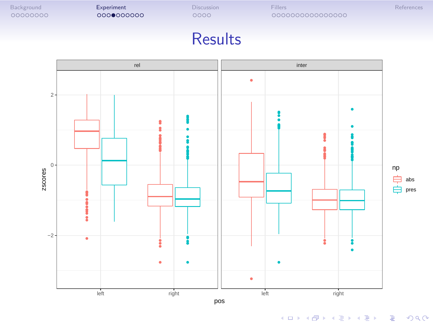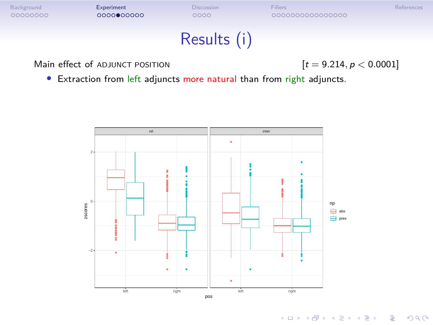

*•* Extraction from left adjuncts more natural than from right adjuncts.

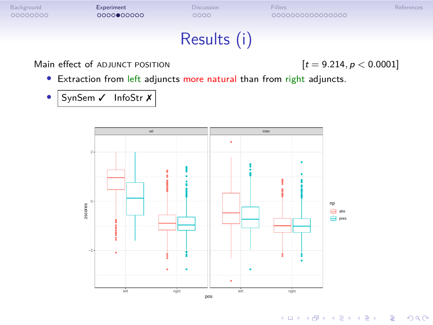

left right left right

pos

ł 3  $\ddot{\phantom{0}}$ ÷,

−2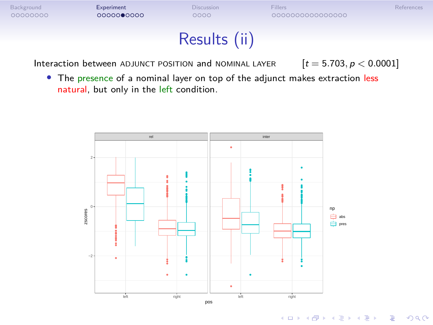

Interaction between ADJUNCT POSITION and NOMINAL LAYER  $[t = 5.703, p < 0.0001]$ 

*•* The presence of a nominal layer on top of the adjunct makes extraction less natural, but only in the left condition.

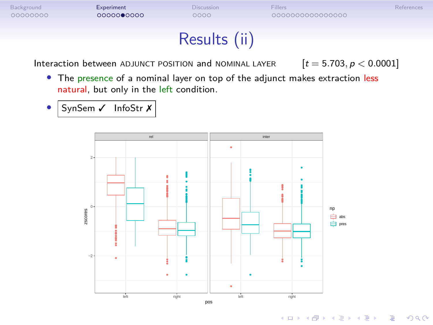

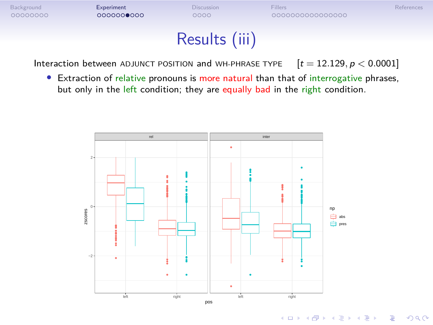

Interaction between ADJUNCT POSITION and WH-PHRASE TYPE  $[t = 12.129, p < 0.0001]$ 

• Extraction of relative pronouns is more natural than that of interrogative phrases, but only in the left condition; they are equally bad in the right condition.

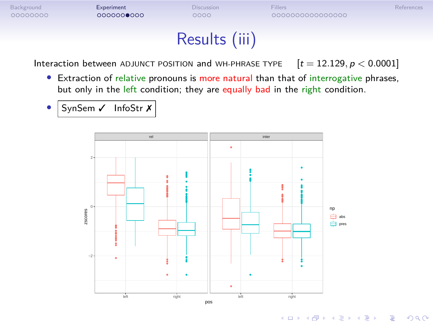## Results (iii)

Interaction between ADJUNCT POSITION and WH-PHRASE TYPE  $[t = 12.129, p < 0.0001]$ 

- Extraction of relative pronouns is more natural than that of interrogative phrases, but only in the left condition; they are equally bad in the right condition.
	- SynSem / InfoStr X

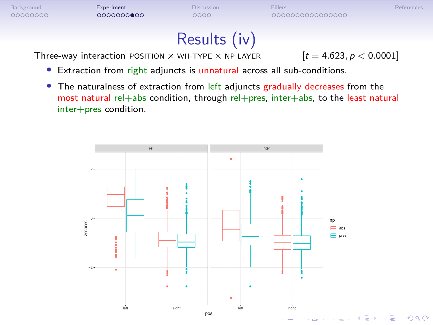## Results (iv)

Three-way interaction POSITION  $\times$  WH-TYPE  $\times$  NP LAYER  $[t = 4.623, p < 0.0001]$ 

- *•* Extraction from right adjuncts is unnatural across all sub-conditions.
- *•* The naturalness of extraction from left adjuncts gradually decreases from the most natural rel+abs condition, through rel+pres, inter+abs, to the least natural inter+pres condition.

![](_page_24_Figure_9.jpeg)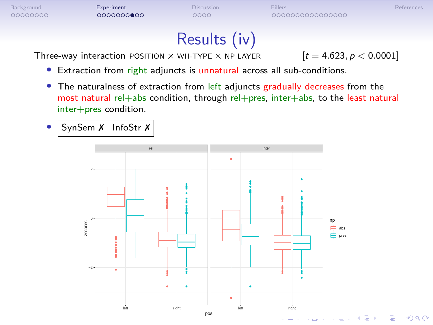![](_page_25_Figure_0.jpeg)

## Results (iv)

Three-way interaction POSITION  $\times$  WH-TYPE  $\times$  NP LAYER  $[t = 4.623, p < 0.0001]$ 

. .

 $2Q$ 

- *•* Extraction from right adjuncts is unnatural across all sub-conditions.
- The naturalness of extraction from left adjuncts gradually decreases from the most natural rel+abs condition, through rel+pres, inter+abs, to the least natural inter+pres condition.

![](_page_25_Figure_9.jpeg)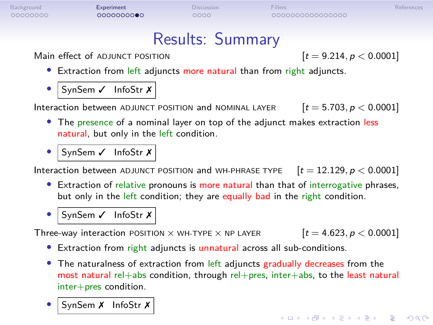| Background<br>00000000 | Experiment<br>000000000                                                                                                                                                                         | Discussion<br>0000 | <b>Fillers</b><br>0000000000000000 | References                |
|------------------------|-------------------------------------------------------------------------------------------------------------------------------------------------------------------------------------------------|--------------------|------------------------------------|---------------------------|
|                        |                                                                                                                                                                                                 | Results: Summary   |                                    |                           |
|                        | Main effect of ADJUNCT POSITION<br>• Extraction from left adjuncts more natural than from right adjuncts.                                                                                       |                    |                                    | $[t = 9.214, p < 0.0001]$ |
|                        | SynSem $\checkmark$ InfoStr $\checkmark$<br>Interaction between ADJUNCT POSITION and NOMINAL LAYER<br>• The presence of a nominal layer on top of the adjunct makes extraction less             |                    |                                    | $[t = 5.703, p < 0.0001]$ |
|                        | natural, but only in the left condition.<br>SynSem √ InfoStr X<br>Interaction between ADJUNCT POSITION and WH-PHRASE TYPE $[t = 12.129, p < 0.0001]$                                            |                    |                                    |                           |
| $\bullet$              | • Extraction of relative pronouns is more natural than that of interrogative phrases,<br>but only in the left condition; they are equally bad in the right condition.<br>SynSem √ InfoStr X     |                    |                                    |                           |
|                        | Three-way interaction POSITION $\times$ WH-TYPE $\times$ NP LAYER<br>• Extraction from right adjuncts is unnatural across all sub-conditions.                                                   |                    |                                    | $[t = 4.623, p < 0.0001]$ |
|                        | • The naturalness of extraction from left adjuncts gradually decreases from the<br>most natural rel+abs condition, through rel+pres, inter+abs, to the least natural<br>$inter+pres$ condition. |                    |                                    |                           |
|                        | SynSem X InfoStr X                                                                                                                                                                              |                    |                                    |                           |

101181121121 2 990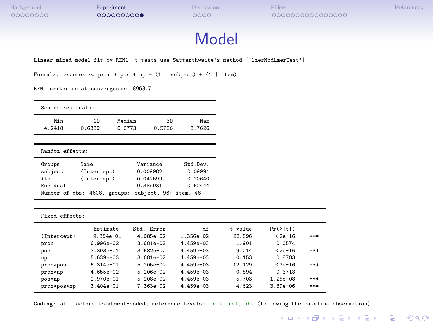### Model

Linear mixed model fit by REML. t-tests use Satterthwaite's method ['lmerModLmerTest']

Formula: zscores *∼* pron \* pos \* np + (1 | subject) + (1 | item)

REML criterion at convergence: 8963*.*7

| Scaled residuals: |                      |           |               |           |
|-------------------|----------------------|-----------|---------------|-----------|
| Min               | 10                   | Median    | 30            | Max       |
| $-4.2418$         | $-0.6339$            | $-0.0773$ | 0.5786        | 3.7626    |
| Random effects:   |                      |           |               |           |
| Groups            | Name                 |           | Variance      | St.d.Dev. |
| subject           | (Intercept)          |           | 0.009982      | 0.09991   |
| . .               | $\sim$ $\sim$ $\sim$ |           | - - - - - - - | - -----   |

| item     | (Intercept)                                        | 0.042599 | 0.20640 |
|----------|----------------------------------------------------|----------|---------|
| Residual |                                                    | 0.389931 | 0.62444 |
|          | Number of obs: 4608, groups: subject, 96; item, 48 |          |         |
|          |                                                    |          |         |

| Fixed effects: |               |             |             |           |                      |     |
|----------------|---------------|-------------|-------------|-----------|----------------------|-----|
|                | Estimate      | St.d. Error | df          | t value   | $Pr(>\vert t \vert)$ |     |
| (Intercept)    | $-9.354e-01$  | $4.085e-02$ | $1.356e+02$ | $-22.896$ | $< 2e - 16$          | *** |
| pron           | $6.996e - 02$ | $3.681e-02$ | $4.459e+03$ | 1.901     | 0.0574               | ٠.  |
| pos            | $3.393e-01$   | $3.682e-02$ | $4.459e+03$ | 9.214     | $< 2e - 16$          | *** |
| np             | $5.639e-03$   | $3.681e-02$ | $4.459e+03$ | 0.153     | 0.8783               |     |
| pron×pos       | $6.314e-01$   | $5.205e-02$ | $4.459e+03$ | 12.129    | $< 2e - 16$          | *** |
| pron×np        | $4.655e-02$   | $5.206e-02$ | $4.459e+03$ | 0.894     | 0.3713               |     |
| posxnp         | $2.970e - 01$ | $5.208e-02$ | $4.459e+03$ | 5.703     | $1.25e-08$           | *** |
| pron×pos×np    | $3.404e - 01$ | $7.363e-02$ | $4.459e+03$ | 4.623     | $3.89e - 06$         | *** |

Coding: all factors treatment-coded; reference levels: left, rel, abs (following the baseline observation).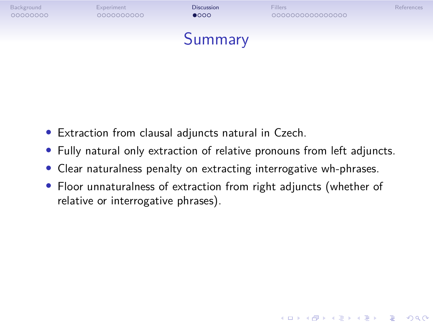![](_page_28_Picture_0.jpeg)

- *•* Extraction from clausal adjuncts natural in Czech.
- *•* Fully natural only extraction of relative pronouns from left adjuncts.
- *•* Clear naturalness penalty on extracting interrogative wh-phrases.
- *•* Floor unnaturalness of extraction from right adjuncts (whether of relative or interrogative phrases).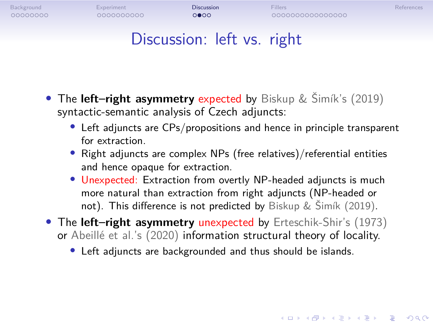![](_page_29_Figure_0.jpeg)

- *•* The **left–right asymmetry** expected by Biskup & Šimík's (2019) syntactic-semantic analysis of Czech adjuncts:
	- *•* Left adjuncts are CPs/propositions and hence in principle transparent for extraction.
	- *•* Right adjuncts are complex NPs (free relatives)/referential entities and hence opaque for extraction.
	- *•* Unexpected: Extraction from overtly NP-headed adjuncts is much more natural than extraction from right adjuncts (NP-headed or not). This difference is not predicted by Biskup & Šimík (2019).
- *•* The **left–right asymmetry** unexpected by Erteschik-Shir's (1973) or Abeillé et al.'s (2020) information structural theory of locality.
	- *•* Left adjuncts are backgrounded and thus should be islands.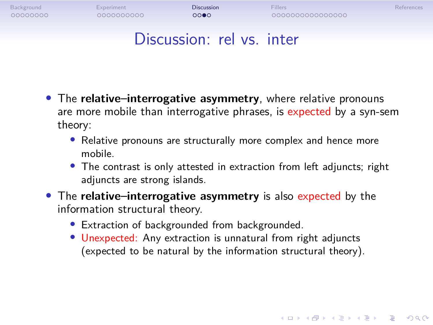![](_page_30_Figure_0.jpeg)

- *•* The **relative–interrogative asymmetry**, where relative pronouns are more mobile than interrogative phrases, is expected by a syn-sem theory:
	- *•* Relative pronouns are structurally more complex and hence more mobile.
	- *•* The contrast is only attested in extraction from left adjuncts; right adjuncts are strong islands.
- *•* The **relative–interrogative asymmetry** is also expected by the information structural theory.
	- *•* Extraction of backgrounded from backgrounded.
	- *•* Unexpected: Any extraction is unnatural from right adjuncts (expected to be natural by the information structural theory).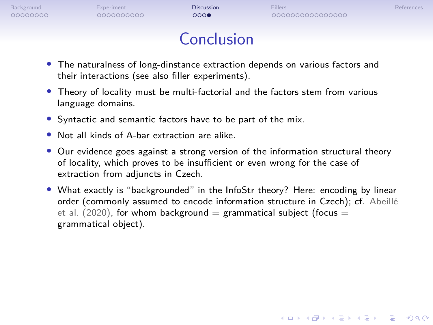| Background<br>00000000 | Experiment<br>0000000000 | <b>Discussion</b><br>0000 | <b>Fillers</b><br>0000000000000000                                            | References |
|------------------------|--------------------------|---------------------------|-------------------------------------------------------------------------------|------------|
|                        |                          | Conclusion                |                                                                               |            |
|                        |                          |                           | • The naturalness of lang dinstance outrastion depends on various factors and |            |

- *•* The naturalness of long-dinstance extraction depends on various factors and their interactions (see also filler experiments).
- *•* Theory of locality must be multi-factorial and the factors stem from various language domains.
- *•* Syntactic and semantic factors have to be part of the mix.
- *•* Not all kinds of A-bar extraction are alike.
- *•* Our evidence goes against a strong version of the information structural theory of locality, which proves to be insufficient or even wrong for the case of extraction from adjuncts in Czech.
- *•* What exactly is "backgrounded" in the InfoStr theory? Here: encoding by linear order (commonly assumed to encode information structure in Czech); cf. Abeillé et al. (2020), for whom background = grammatical subject (focus = grammatical object).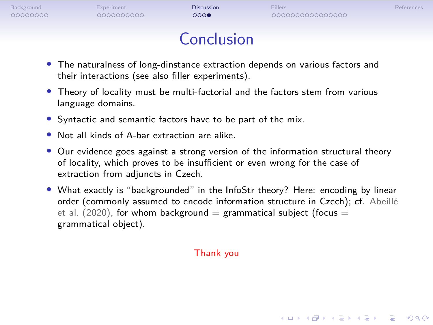| Background<br>00000000 | Experiment<br>0000000000 | <b>Discussion</b><br>000 | <b>Fillers</b><br>0000000000000000                                            | <b>References</b> |
|------------------------|--------------------------|--------------------------|-------------------------------------------------------------------------------|-------------------|
|                        |                          | Conclusion               |                                                                               |                   |
|                        |                          |                          | • The naturalness of long-dinstance extraction depends on various factors and |                   |

- *•* The naturalness of long-dinstance extraction depends on various factors and their interactions (see also filler experiments).
- *•* Theory of locality must be multi-factorial and the factors stem from various language domains.
- *•* Syntactic and semantic factors have to be part of the mix.
- *•* Not all kinds of A-bar extraction are alike.
- *•* Our evidence goes against a strong version of the information structural theory of locality, which proves to be insufficient or even wrong for the case of extraction from adjuncts in Czech.
- *•* What exactly is "backgrounded" in the InfoStr theory? Here: encoding by linear order (commonly assumed to encode information structure in Czech); cf. Abeillé et al. (2020), for whom background = grammatical subject (focus = grammatical object).

Thank you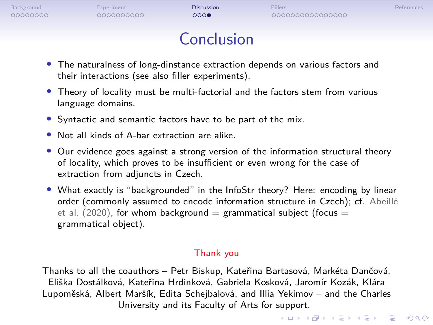| Background | Experiment | <b>Discussion</b> | <b>Fillers</b>   | References |
|------------|------------|-------------------|------------------|------------|
| 00000000   | 0000000000 | 000               | 0000000000000000 |            |
|            |            | Conclusion        |                  |            |

- *•* The naturalness of long-dinstance extraction depends on various factors and their interactions (see also filler experiments).
- *•* Theory of locality must be multi-factorial and the factors stem from various language domains.
- *•* Syntactic and semantic factors have to be part of the mix.
- *•* Not all kinds of A-bar extraction are alike.
- Our evidence goes against a strong version of the information structural theory of locality, which proves to be insufficient or even wrong for the case of extraction from adjuncts in Czech.
- *•* What exactly is "backgrounded" in the InfoStr theory? Here: encoding by linear order (commonly assumed to encode information structure in Czech); cf. Abeillé et al.  $(2020)$ , for whom background = grammatical subject (focus = grammatical object).

### Thank you

Thanks to all the coauthors – Petr Biskup, Kateřina Bartasová, Markéta Dančová, Eliška Dostálková, Kateřina Hrdinková, Gabriela Kosková, Jaromír Kozák, Klára Lupoměská, Albert Maršík, Edita Schejbalová, and Illia Yekimov – and the Charles University and its Faculty of Arts for support.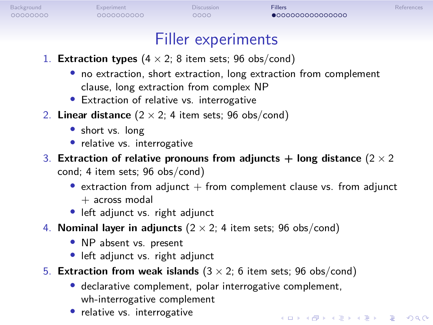### Filler experiments

- 1. **Extraction types**  $(4 \times 2; 8$  item sets; 96 obs/cond)
	- *•* no extraction, short extraction, long extraction from complement clause, long extraction from complex NP
	- *•* Extraction of relative vs. interrogative
- 2. **Linear distance**  $(2 \times 2; 4$  item sets; 96 obs/cond)
	- *•* short vs. long
	- *•* relative vs. interrogative
- 3. **Extraction of relative pronouns from adjuncts + long distance** (2 *×* 2 cond; 4 item sets; 96 obs/cond)
	- extraction from adjunct + from complement clause vs. from adjunct  $+$  across modal
	- *•* left adjunct vs. right adjunct
- 4. **Nominal layer in adjuncts** (2 *×* 2; 4 item sets; 96 obs/cond)
	- *•* NP absent vs. present
	- *•* left adjunct vs. right adjunct
- 5. **Extraction from weak islands** (3 *×* 2; 6 item sets; 96 obs/cond)
	- *•* declarative complement, polar interrogative complement, wh-interrogative complement
	- *•* relative vs. interrogative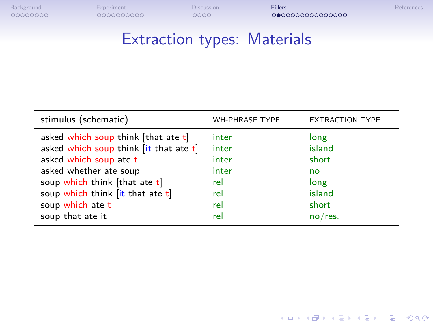## Extraction types: Materials

| stimulus (schematic)                      | <b>WH-PHRASE TYPE</b> | <b>EXTRACTION TYPE</b> |
|-------------------------------------------|-----------------------|------------------------|
| asked which soup think [that ate t]       | inter                 | long                   |
| asked which soup think $(it$ that ate $t$ | inter                 | island                 |
| asked which soup ate t                    | inter                 | short                  |
| asked whether ate soup                    | inter                 | no                     |
| soup which think [that ate t]             | rel                   | long                   |
| soup which think [it that ate t]          | rel                   | island                 |
| soup which ate t                          | rel                   | short                  |
| soup that ate it                          | rel                   | $no$ /res.             |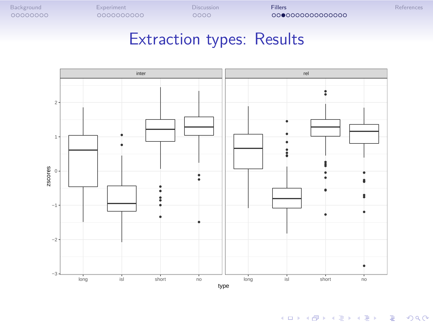![](_page_36_Figure_0.jpeg)

![](_page_36_Figure_1.jpeg)

![](_page_36_Figure_2.jpeg)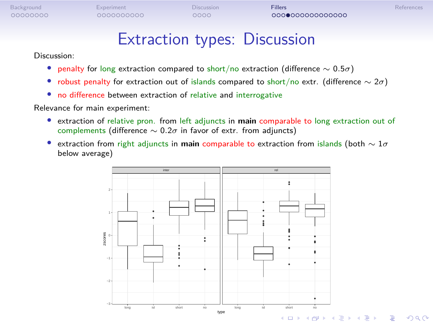## Extraction types: Discussion

### Discussion:

- *•* penalty for long extraction compared to short/no extraction (difference *∼* 0*.*5*σ*)
- *•* robust penalty for extraction out of islands compared to short/no extr. (difference *∼* 2*σ*)
- *•* no difference between extraction of relative and interrogative

### Relevance for main experiment:

- *•* extraction of relative pron. from left adjuncts in **main** comparable to long extraction out of complements (difference *∼* 0*.*2*σ* in favor of extr. from adjuncts)
- *•* extraction from right adjuncts in **main** comparable to extraction from islands (both *∼* 1*σ* below average)

![](_page_37_Figure_12.jpeg)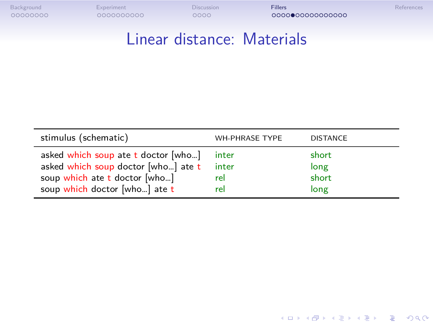## Linear distance: Materials

| stimulus (schematic)                    | WH-PHRASE TYPE | <b>DISTANCE</b> |
|-----------------------------------------|----------------|-----------------|
| asked which soup ate $t$ doctor $[who]$ | inter          | short           |
| asked which soup doctor [who] ate t     | inter          | long            |
| soup which ate t doctor [who]           | rel            | short           |
| soup which doctor [who] ate t           | rel            | long            |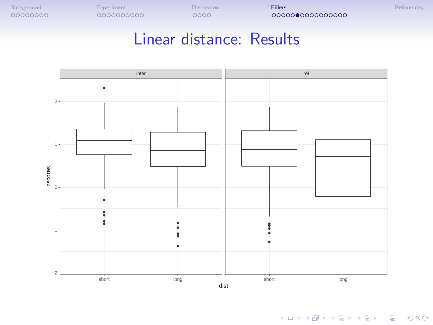![](_page_39_Figure_0.jpeg)

![](_page_39_Figure_1.jpeg)

## Linear distance: Results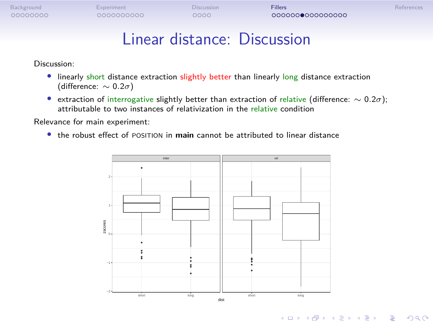## Linear distance: Discussion

### Discussion:

- *•* linearly short distance extraction slightly better than linearly long distance extraction (difference: *∼* 0*.*2*σ*)
- *•* extraction of interrogative slightly better than extraction of relative (difference: *∼* 0*.*2*σ*); attributable to two instances of relativization in the relative condition

Relevance for main experiment:

*•* the robust effect of POSITION in **main** cannot be attributed to linear distance

![](_page_40_Figure_7.jpeg)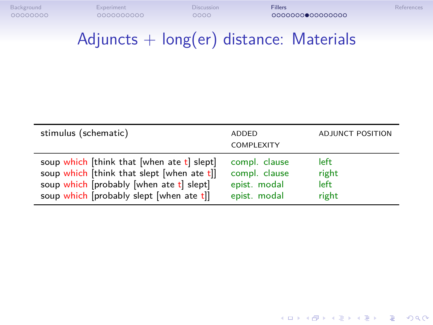# $Adjuncts + long(er)$  distance: Materials

| stimulus (schematic)                        | ADDED<br><b>COMPLEXITY</b> | <b>ADJUNCT POSITION</b> |
|---------------------------------------------|----------------------------|-------------------------|
| soup which [think that [when ate t] slept]  | compl. clause              | left                    |
| soup which [think that slept [when ate t]]  | compl. clause              | right                   |
| soup which [probably [when ate t] slept]    | epist. modal               | left.                   |
| soup which [probably slept [when ate $t$ ]] | epist. modal               | right                   |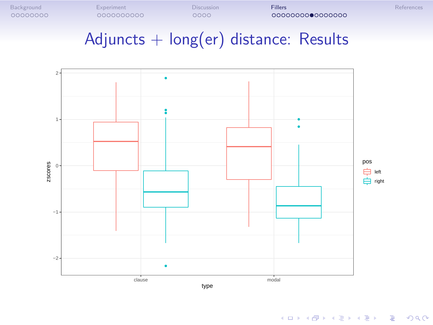![](_page_42_Figure_0.jpeg)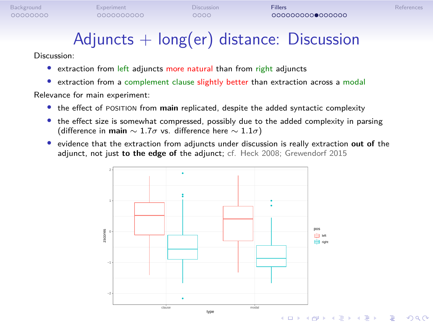## $Adjuncts + long(er)$  distance: Discussion

### Discussion:

*•* extraction from left adjuncts more natural than from right adjuncts

*•* extraction from a complement clause slightly better than extraction across a modal Relevance for main experiment:

- *•* the effect of POSITION from **main** replicated, despite the added syntactic complexity
- *•* the effect size is somewhat compressed, possibly due to the added complexity in parsing (difference in **main** *∼* 1*.*7*σ* vs. difference here *∼* 1*.*1*σ*)
- *•* evidence that the extraction from adjuncts under discussion is really extraction **out of** the adjunct, not just **to the edge of** the adjunct; cf. Heck 2008; Grewendorf 2015

![](_page_43_Figure_10.jpeg)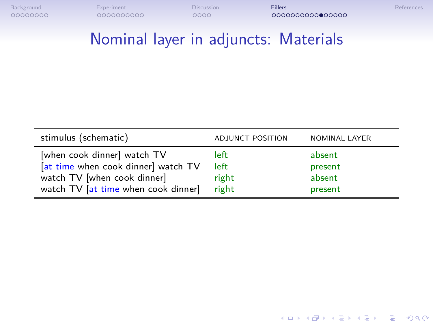## Nominal layer in adjuncts: Materials

| stimulus (schematic)                                                                                                                     | ADJUNCT POSITION               | <b>NOMINAL LAYER</b>                   |
|------------------------------------------------------------------------------------------------------------------------------------------|--------------------------------|----------------------------------------|
| [when cook dinner] watch TV<br>[at time when cook dinner] watch TV<br>watch TV [when cook dinner]<br>watch TV [at time when cook dinner] | left<br>left<br>right<br>right | absent<br>present<br>absent<br>present |
|                                                                                                                                          |                                |                                        |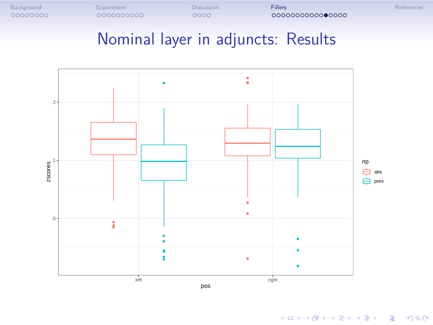![](_page_45_Figure_0.jpeg)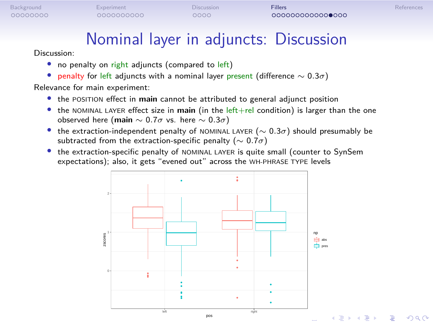$2Q$ 

## Nominal layer in adjuncts: Discussion

- Discussion: • no penalty on right adjuncts (compared to left)
- *•* penalty for left adjuncts with a nominal layer present (difference *∼* 0*.*3*σ*) Relevance for main experiment:
- *•* the POSITION effect in **main** cannot be attributed to general adjunct position
- the NOMINAL LAYER effect size in main (in the left+rel condition) is larger than the one observed here (**main** *∼* 0*.*7*σ* vs. here *∼* 0*.*3*σ*)
- *•* the extraction-independent penalty of NOMINAL LAYER (*∼* 0*.*3*σ*) should presumably be subtracted from the extraction-specific penalty (*∼* 0*.*7*σ*)
- the extraction-specific penalty of NOMINAL LAYER is quite small (counter to SynSem expectations); also, it gets "evened out" across the WH-PHRASE TYPE levels

![](_page_46_Figure_11.jpeg)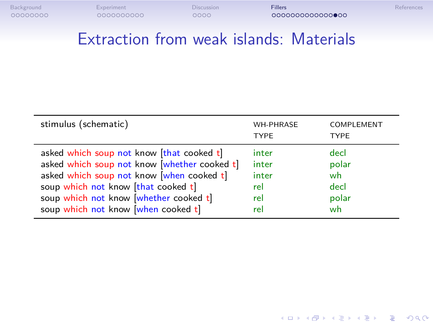## Extraction from weak islands: Materials

| stimulus (schematic)                       | <b>WH-PHRASE</b><br><b>TYPE</b> | COMPLEMENT<br><b>TYPE</b> |
|--------------------------------------------|---------------------------------|---------------------------|
| asked which soup not know [that cooked t]  | inter                           | decl                      |
| asked which soup not know whether cooked t | inter                           | polar                     |
| asked which soup not know [when cooked t]  | inter                           | wh                        |
| soup which not know [that cooked t]        | rel                             | decl                      |
| soup which not know [whether cooked t]     | rel                             | polar                     |
| soup which not know [when cooked t]        | rel                             | wh                        |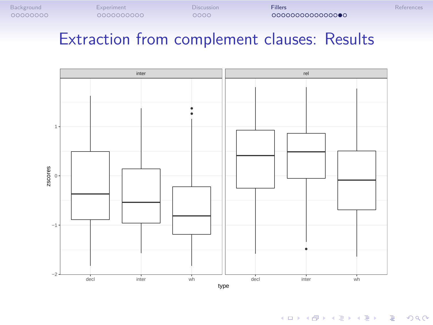![](_page_48_Figure_0.jpeg)

decl inter wh decl inter wh

type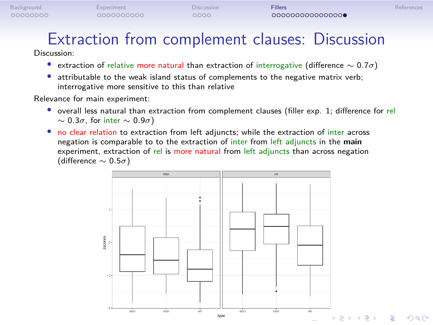# Extraction from complement clauses: Discussion

Discussion:

- *•* extraction of relative more natural than extraction of interrogative (difference *∼* 0*.*7*σ*)
- *•* attributable to the weak island status of complements to the negative matrix verb;
- interrogative more sensitive to this than relative

Relevance for main experiment:

- overall less natural than extraction from complement clauses (filler exp. 1; difference for rel *∼* 0*.*3*σ*, for inter *∼* 0*.*9*σ*)
- no clear relation to extraction from left adjuncts; while the extraction of inter across negation is comparable to to the extraction of inter from left adjuncts in the **main** experiment, extraction of rel is more natural from left adjuncts than across negation (difference *∼* 0*.*5*σ*)

![](_page_49_Figure_12.jpeg)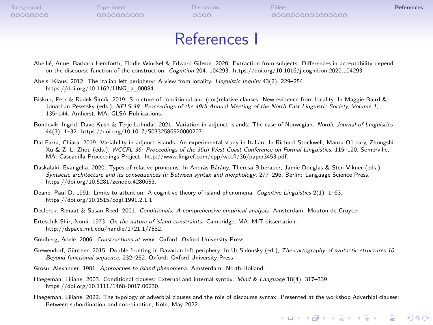### References I

Abeillé, Anne, Barbara Hemforth, Elodie Winckel & Edward Gibson. 2020. Extraction from subjects: Differences in acceptability depend<br>on the discourse function of the construction. *Cognition* 204. 104293. https://doi.org/1

Abels, Klaus. 2012. The Italian left periphery: A view from locality. *Linguistic Inquiry* 43(2). 229–254. https://doi.org/10.1162/LING\_a\_00084.

Biskup, Petr & Radek Šimík. 2019. Structure of conditional and (cor)relative clauses: New evidence from locality. In Maggie Baird & Jonathan Pesetsky (eds.), *NELS 49: Proceedings of the 49th Annual Meeting of the North East Linguistic Society, Volume 1*, 135–144. Amherst, MA: GLSA Publications.

- Bondevik, Ingrid, Dave Kush & Terje Lohndal. 2021. Variation in adjunct islands: The case of Norwegian. *Nordic Journal of Linguistics* 44(3). 1–32. https://doi.org/10.1017/S0332586520000207.
- Dal Farra, Chiara. 2019. Variability in adjunct islands: An experimental study in Italian. In Richard Stockwell, Maura O'Leary, Zhongshi<br>1991 Xu & Z. L. Zhou (eds.), WCCFL 36: Proceedings of the 36th West Coast Conferenc
- , Daskalaki, Evangelia. 2020. Types of relative pronouns. In András Bárány, Theresa Biberauer, Jamie Douglas & Sten Vikner (eds.),<br>Syntactic architecture and its consequences II: Between syntax and morphology, 277–296. Ber https://doi.org/10.5281/zenodo.4280653.
- Deane, Paul D. 1991. Limits to attention: A cognitive theory of island phenomena. *Cognitive Linguistics* 2(1). 1–63. https://doi.org/10.1515/cogl.1991.2.1.1.
- Declerck, Renaat & Susan Reed. 2001. *Conditionals: A comprehensive empirical analysis*. Amsterdam: Mouton de Gruyter. Erteschik-Shir, Nomi. 1973. *On the nature of island constraints*. Cambridge, MA: MIT dissertation.
- http://dspace.mit.edu/handle/1721.1/7582.
- Goldberg, Adele. 2006. *Constructions at work*. Oxford: Oxford University Press.
- Grewendorf, Günther. 2015. Double fronting in Bavarian left periphery. In Ur Shlonsky (ed.), *The cartography of syntactic structures 10: Beyond functional sequence*, 232–252. Oxford: Oxford University Press.

Grosu, Alexander. 1981. *Approaches to island phenomena*. Amsterdam: North-Holland.

- Haegeman, Liliane. 2003. Conditional clauses: External and internal syntax. *Mind & Language* 18(4). 317–339. https://doi.org/10.1111/1468-0017.00230.
- Haegeman, Liliane. 2022. The typology of adverbial clauses and the role of discourse syntax. Presented at the workshop Adverbial clauses: Between subordination and coordination, Köln, May 2022.